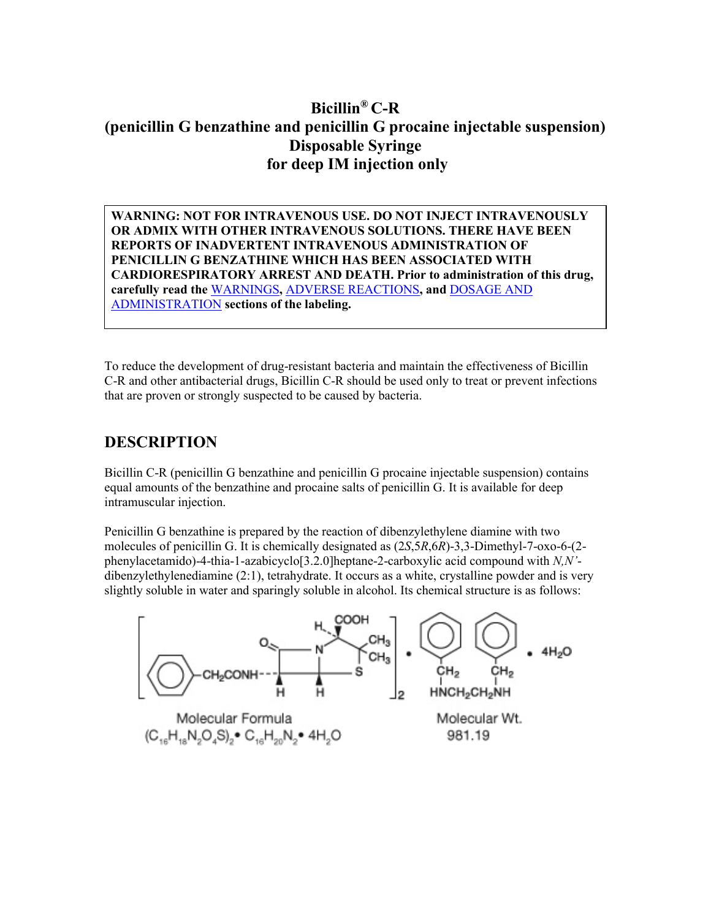# **Bicillin® C-R (penicillin G benzathine and penicillin G procaine injectable suspension) Disposable Syringe for deep IM injection only**

**WARNING: NOT FOR INTRAVENOUS USE. DO NOT INJECT INTRAVENOUSLY OR ADMIX WITH OTHER INTRAVENOUS SOLUTIONS. THERE HAVE BEEN REPORTS OF INADVERTENT INTRAVENOUS ADMINISTRATION OF PENICILLIN G BENZATHINE WHICH HAS BEEN ASSOCIATED WITH CARDIORESPIRATORY ARREST AND DEATH. Prior to administration of this drug, carefully read the** [WARNINGS](#page-3-0)**,** [ADVERSE REACTIONS](#page-8-0)**, and** [DOSAGE AND](#page-9-0)  [ADMINISTRATION](#page-9-0) **sections of the labeling.**

To reduce the development of drug-resistant bacteria and maintain the effectiveness of Bicillin C-R and other antibacterial drugs, Bicillin C-R should be used only to treat or prevent infections that are proven or strongly suspected to be caused by bacteria.

# **DESCRIPTION**

Bicillin C-R (penicillin G benzathine and penicillin G procaine injectable suspension) contains equal amounts of the benzathine and procaine salts of penicillin G. It is available for deep intramuscular injection.

Penicillin G benzathine is prepared by the reaction of dibenzylethylene diamine with two molecules of penicillin G. It is chemically designated as (2*S*,5*R*,6*R*)-3,3-Dimethyl-7-oxo-6-(2 phenylacetamido)-4-thia-1-azabicyclo[3.2.0]heptane-2-carboxylic acid compound with *N,N'* dibenzylethylenediamine (2:1), tetrahydrate. It occurs as a white, crystalline powder and is very slightly soluble in water and sparingly soluble in alcohol. Its chemical structure is as follows:

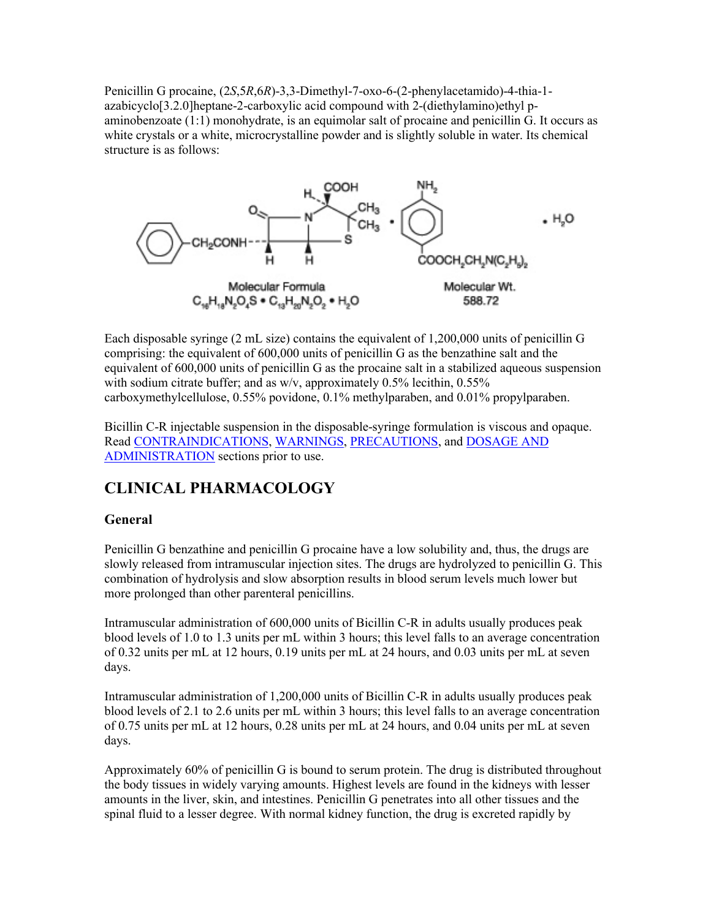Penicillin G procaine, (2*S*,5*R*,6*R*)-3,3-Dimethyl-7-oxo-6-(2-phenylacetamido)-4-thia-1 azabicyclo[3.2.0]heptane-2-carboxylic acid compound with 2-(diethylamino)ethyl paminobenzoate (1:1) monohydrate, is an equimolar salt of procaine and penicillin G. It occurs as white crystals or a white, microcrystalline powder and is slightly soluble in water. Its chemical structure is as follows:



Each disposable syringe (2 mL size) contains the equivalent of 1,200,000 units of penicillin G comprising: the equivalent of 600,000 units of penicillin G as the benzathine salt and the equivalent of 600,000 units of penicillin G as the procaine salt in a stabilized aqueous suspension with sodium citrate buffer; and as w/v, approximately 0.5% lecithin, 0.55% carboxymethylcellulose, 0.55% povidone, 0.1% methylparaben, and 0.01% propylparaben.

Bicillin C-R injectable suspension in the disposable-syringe formulation is viscous and opaque. Read [CONTRAINDICATIONS,](#page-3-1) [WARNINGS](#page-3-0), [PRECAUTIONS,](#page-5-0) and [DOSAGE AND](#page-9-0)  [ADMINISTRATION](#page-9-0) sections prior to use.

# <span id="page-1-0"></span>**CLINICAL PHARMACOLOGY**

### **General**

Penicillin G benzathine and penicillin G procaine have a low solubility and, thus, the drugs are slowly released from intramuscular injection sites. The drugs are hydrolyzed to penicillin G. This combination of hydrolysis and slow absorption results in blood serum levels much lower but more prolonged than other parenteral penicillins.

Intramuscular administration of 600,000 units of Bicillin C-R in adults usually produces peak blood levels of 1.0 to 1.3 units per mL within 3 hours; this level falls to an average concentration of 0.32 units per mL at 12 hours, 0.19 units per mL at 24 hours, and 0.03 units per mL at seven days.

Intramuscular administration of 1,200,000 units of Bicillin C-R in adults usually produces peak blood levels of 2.1 to 2.6 units per mL within 3 hours; this level falls to an average concentration of 0.75 units per mL at 12 hours, 0.28 units per mL at 24 hours, and 0.04 units per mL at seven days.

Approximately 60% of penicillin G is bound to serum protein. The drug is distributed throughout the body tissues in widely varying amounts. Highest levels are found in the kidneys with lesser amounts in the liver, skin, and intestines. Penicillin G penetrates into all other tissues and the spinal fluid to a lesser degree. With normal kidney function, the drug is excreted rapidly by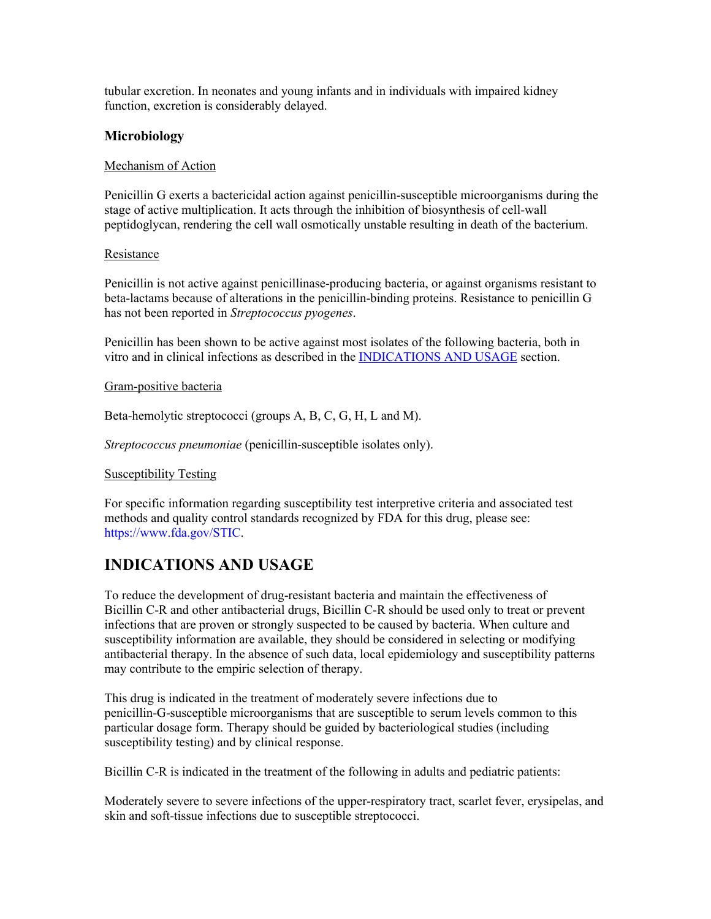tubular excretion. In neonates and young infants and in individuals with impaired kidney function, excretion is considerably delayed.

### **Microbiology**

#### Mechanism of Action

Penicillin G exerts a bactericidal action against penicillin-susceptible microorganisms during the stage of active multiplication. It acts through the inhibition of biosynthesis of cell-wall peptidoglycan, rendering the cell wall osmotically unstable resulting in death of the bacterium.

#### Resistance

Penicillin is not active against penicillinase-producing bacteria, or against organisms resistant to beta-lactams because of alterations in the penicillin-binding proteins. Resistance to penicillin G has not been reported in *Streptococcus pyogenes*.

Penicillin has been shown to be active against most isolates of the following bacteria, both in vitro and in clinical infections as described in the [INDICATIONS AND USAGE](#page-2-0) section.

#### Gram-positive bacteria

Beta-hemolytic streptococci (groups A, B, C, G, H, L and M).

*Streptococcus pneumoniae* (penicillin-susceptible isolates only).

#### Susceptibility Testing

For specific information regarding susceptibility test interpretive criteria and associated test methods and quality control standards recognized by FDA for this drug, please see: <https://www.fda.gov/STIC>.

# <span id="page-2-0"></span>**INDICATIONS AND USAGE**

To reduce the development of drug-resistant bacteria and maintain the effectiveness of Bicillin C-R and other antibacterial drugs, Bicillin C-R should be used only to treat or prevent infections that are proven or strongly suspected to be caused by bacteria. When culture and susceptibility information are available, they should be considered in selecting or modifying antibacterial therapy. In the absence of such data, local epidemiology and susceptibility patterns may contribute to the empiric selection of therapy.

This drug is indicated in the treatment of moderately severe infections due to penicillin-G-susceptible microorganisms that are susceptible to serum levels common to this particular dosage form. Therapy should be guided by bacteriological studies (including susceptibility testing) and by clinical response.

Bicillin C-R is indicated in the treatment of the following in adults and pediatric patients:

Moderately severe to severe infections of the upper-respiratory tract, scarlet fever, erysipelas, and skin and soft-tissue infections due to susceptible streptococci.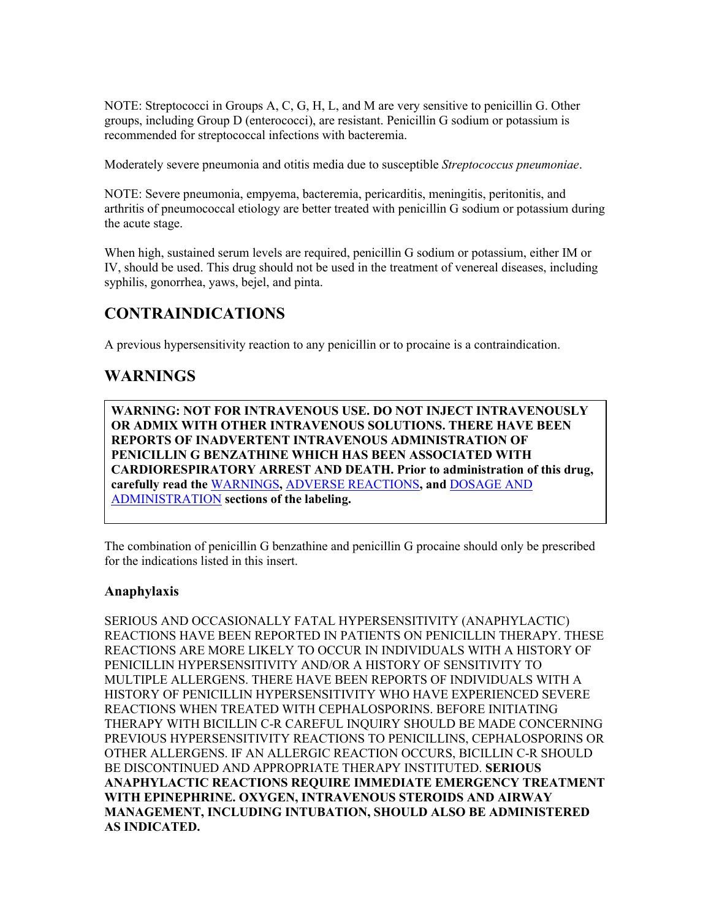NOTE: Streptococci in Groups A, C, G, H, L, and M are very sensitive to penicillin G. Other groups, including Group D (enterococci), are resistant. Penicillin G sodium or potassium is recommended for streptococcal infections with bacteremia.

Moderately severe pneumonia and otitis media due to susceptible *Streptococcus pneumoniae*.

NOTE: Severe pneumonia, empyema, bacteremia, pericarditis, meningitis, peritonitis, and arthritis of pneumococcal etiology are better treated with penicillin G sodium or potassium during the acute stage.

When high, sustained serum levels are required, penicillin G sodium or potassium, either IM or IV, should be used. This drug should not be used in the treatment of venereal diseases, including syphilis, gonorrhea, yaws, bejel, and pinta.

# <span id="page-3-1"></span>**CONTRAINDICATIONS**

A previous hypersensitivity reaction to any penicillin or to procaine is a contraindication.

# <span id="page-3-0"></span>**WARNINGS**

**WARNING: NOT FOR INTRAVENOUS USE. DO NOT INJECT INTRAVENOUSLY OR ADMIX WITH OTHER INTRAVENOUS SOLUTIONS. THERE HAVE BEEN REPORTS OF INADVERTENT INTRAVENOUS ADMINISTRATION OF PENICILLIN G BENZATHINE WHICH HAS BEEN ASSOCIATED WITH CARDIORESPIRATORY ARREST AND DEATH. Prior to administration of this drug, carefully read the** [WARNINGS](#page-3-0)**,** ADVERSE [REACTIONS](#page-8-0)**, and** [DOSAGE AND](#page-9-0)  [ADMINISTRATION](#page-9-0) **sections of the labeling.**

The combination of penicillin G benzathine and penicillin G procaine should only be prescribed for the indications listed in this insert.

### **Anaphylaxis**

SERIOUS AND OCCASIONALLY FATAL HYPERSENSITIVITY (ANAPHYLACTIC) REACTIONS HAVE BEEN REPORTED IN PATIENTS ON PENICILLIN THERAPY. THESE REACTIONS ARE MORE LIKELY TO OCCUR IN INDIVIDUALS WITH A HISTORY OF PENICILLIN HYPERSENSITIVITY AND/OR A HISTORY OF SENSITIVITY TO MULTIPLE ALLERGENS. THERE HAVE BEEN REPORTS OF INDIVIDUALS WITH A HISTORY OF PENICILLIN HYPERSENSITIVITY WHO HAVE EXPERIENCED SEVERE REACTIONS WHEN TREATED WITH CEPHALOSPORINS. BEFORE INITIATING THERAPY WITH BICILLIN C-R CAREFUL INQUIRY SHOULD BE MADE CONCERNING PREVIOUS HYPERSENSITIVITY REACTIONS TO PENICILLINS, CEPHALOSPORINS OR OTHER ALLERGENS. IF AN ALLERGIC REACTION OCCURS, BICILLIN C-R SHOULD BE DISCONTINUED AND APPROPRIATE THERAPY INSTITUTED. **SERIOUS ANAPHYLACTIC REACTIONS REQUIRE IMMEDIATE EMERGENCY TREATMENT WITH EPINEPHRINE. OXYGEN, INTRAVENOUS STEROIDS AND AIRWAY MANAGEMENT, INCLUDING INTUBATION, SHOULD ALSO BE ADMINISTERED AS INDICATED.**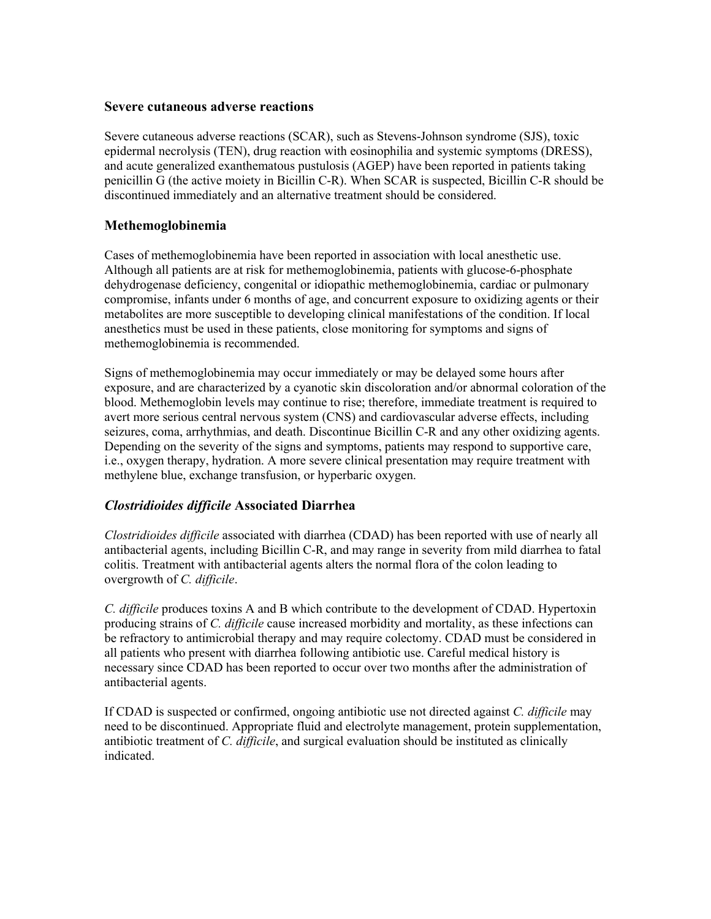#### **Severe cutaneous adverse reactions**

Severe cutaneous adverse reactions (SCAR), such as Stevens-Johnson syndrome (SJS), toxic epidermal necrolysis (TEN), drug reaction with eosinophilia and systemic symptoms (DRESS), and acute generalized exanthematous pustulosis (AGEP) have been reported in patients taking penicillin G (the active moiety in Bicillin C-R). When SCAR is suspected, Bicillin C-R should be discontinued immediately and an alternative treatment should be considered.

## **Methemoglobinemia**

Cases of methemoglobinemia have been reported in association with local anesthetic use. Although all patients are at risk for methemoglobinemia, patients with glucose-6-phosphate dehydrogenase deficiency, congenital or idiopathic methemoglobinemia, cardiac or pulmonary compromise, infants under 6 months of age, and concurrent exposure to oxidizing agents or their metabolites are more susceptible to developing clinical manifestations of the condition. If local anesthetics must be used in these patients, close monitoring for symptoms and signs of methemoglobinemia is recommended.

Signs of methemoglobinemia may occur immediately or may be delayed some hours after exposure, and are characterized by a cyanotic skin discoloration and/or abnormal coloration of the blood. Methemoglobin levels may continue to rise; therefore, immediate treatment is required to avert more serious central nervous system (CNS) and cardiovascular adverse effects, including seizures, coma, arrhythmias, and death. Discontinue Bicillin C-R and any other oxidizing agents. Depending on the severity of the signs and symptoms, patients may respond to supportive care, i.e., oxygen therapy, hydration. A more severe clinical presentation may require treatment with methylene blue, exchange transfusion, or hyperbaric oxygen.

### *Clostridioides difficile* **Associated Diarrhea**

*Clostridioides difficile* associated with diarrhea (CDAD) has been reported with use of nearly all antibacterial agents, including Bicillin C-R, and may range in severity from mild diarrhea to fatal colitis. Treatment with antibacterial agents alters the normal flora of the colon leading to overgrowth of *C. difficile*.

*C. difficile* produces toxins A and B which contribute to the development of CDAD. Hypertoxin producing strains of *C. difficile* cause increased morbidity and mortality, as these infections can be refractory to antimicrobial therapy and may require colectomy. CDAD must be considered in all patients who present with diarrhea following antibiotic use. Careful medical history is necessary since CDAD has been reported to occur over two months after the administration of antibacterial agents.

If CDAD is suspected or confirmed, ongoing antibiotic use not directed against *C. difficile* may need to be discontinued. Appropriate fluid and electrolyte management, protein supplementation, antibiotic treatment of *C. difficile*, and surgical evaluation should be instituted as clinically indicated.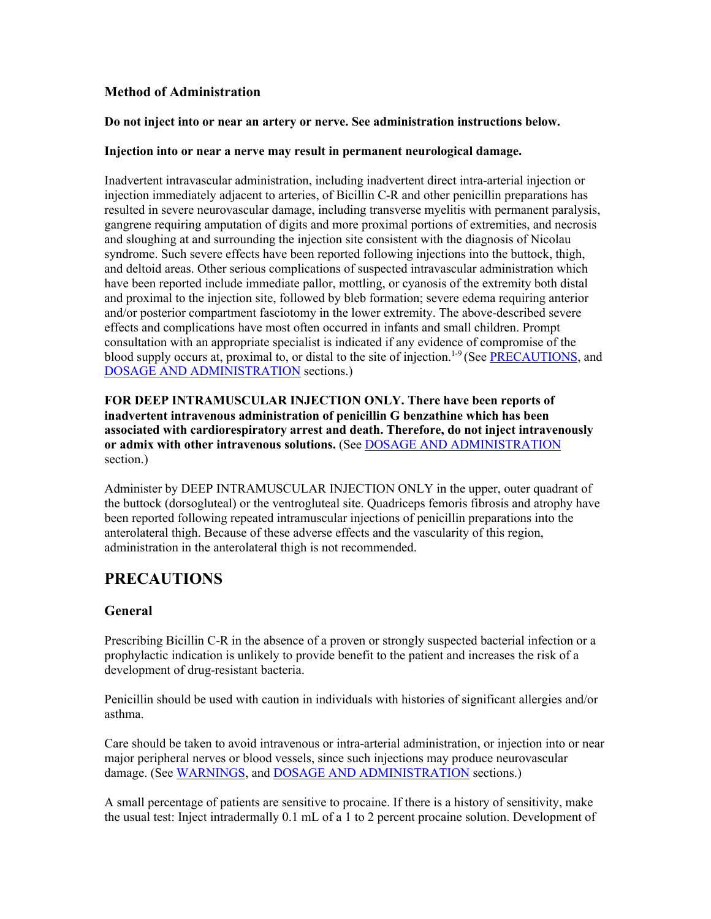## **Method of Administration**

#### **Do not inject into or near an artery or nerve. See administration instructions below.**

#### **Injection into or near a nerve may result in permanent neurological damage.**

Inadvertent intravascular administration, including inadvertent direct intra-arterial injection or injection immediately adjacent to arteries, of Bicillin C-R and other penicillin preparations has resulted in severe neurovascular damage, including transverse myelitis with permanent paralysis, gangrene requiring amputation of digits and more proximal portions of extremities, and necrosis and sloughing at and surrounding the injection site consistent with the diagnosis of Nicolau syndrome. Such severe effects have been reported following injections into the buttock, thigh, and deltoid areas. Other serious complications of suspected intravascular administration which have been reported include immediate pallor, mottling, or cyanosis of the extremity both distal and proximal to the injection site, followed by bleb formation; severe edema requiring anterior and/or posterior compartment fasciotomy in the lower extremity. The above-described severe effects and complications have most often occurred in infants and small children. Prompt consultation with an appropriate specialist is indicated if any evidence of compromise of the blood supply occurs at, proximal to, or distal to the site of injection.<sup>1-9</sup> (See [PRECAUTIONS,](#page-5-0) and [DOSAGE AND ADMINISTRATION](#page-9-0) sections.)

#### **FOR DEEP INTRAMUSCULAR INJECTION ONLY. There have been reports of inadvertent intravenous administration of penicillin G benzathine which has been associated with cardiorespiratory arrest and death. Therefore, do not inject intravenously or admix with other intravenous solutions.** (See [DOSAGE AND ADMINISTRATION](#page-9-0) section.)

Administer by DEEP INTRAMUSCULAR INJECTION ONLY in the upper, outer quadrant of the buttock (dorsogluteal) or the ventrogluteal site. Quadriceps femoris fibrosis and atrophy have been reported following repeated intramuscular injections of penicillin preparations into the anterolateral thigh. Because of these adverse effects and the vascularity of this region, administration in the anterolateral thigh is not recommended.

# <span id="page-5-0"></span>**PRECAUTIONS**

## **General**

Prescribing Bicillin C-R in the absence of a proven or strongly suspected bacterial infection or a prophylactic indication is unlikely to provide benefit to the patient and increases the risk of a development of drug-resistant bacteria.

Penicillin should be used with caution in individuals with histories of significant allergies and/or asthma.

Care should be taken to avoid intravenous or intra-arterial administration, or injection into or near major peripheral nerves or blood vessels, since such injections may produce neurovascular damage. (See [WARNINGS](#page-3-0), and [DOSAGE AND ADMINISTRATION](#page-9-0) sections.)

A small percentage of patients are sensitive to procaine. If there is a history of sensitivity, make the usual test: Inject intradermally 0.1 mL of a 1 to 2 percent procaine solution. Development of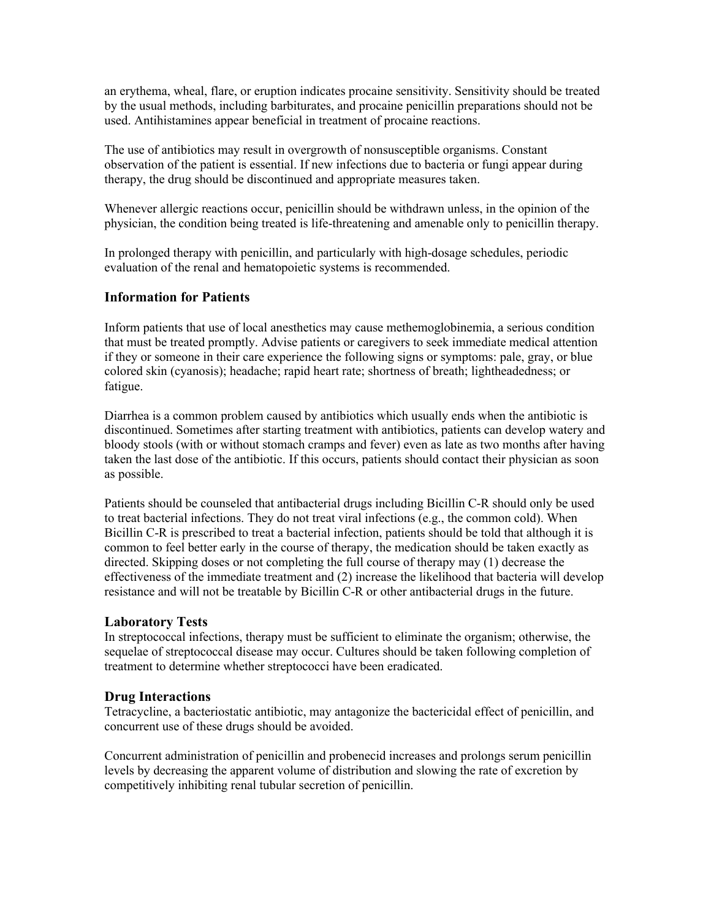an erythema, wheal, flare, or eruption indicates procaine sensitivity. Sensitivity should be treated by the usual methods, including barbiturates, and procaine penicillin preparations should not be used. Antihistamines appear beneficial in treatment of procaine reactions.

The use of antibiotics may result in overgrowth of nonsusceptible organisms. Constant observation of the patient is essential. If new infections due to bacteria or fungi appear during therapy, the drug should be discontinued and appropriate measures taken.

Whenever allergic reactions occur, penicillin should be withdrawn unless, in the opinion of the physician, the condition being treated is life-threatening and amenable only to penicillin therapy.

In prolonged therapy with penicillin, and particularly with high-dosage schedules, periodic evaluation of the renal and hematopoietic systems is recommended.

#### **Information for Patients**

Inform patients that use of local anesthetics may cause methemoglobinemia, a serious condition that must be treated promptly. Advise patients or caregivers to seek immediate medical attention if they or someone in their care experience the following signs or symptoms: pale, gray, or blue colored skin (cyanosis); headache; rapid heart rate; shortness of breath; lightheadedness; or fatigue.

Diarrhea is a common problem caused by antibiotics which usually ends when the antibiotic is discontinued. Sometimes after starting treatment with antibiotics, patients can develop watery and bloody stools (with or without stomach cramps and fever) even as late as two months after having taken the last dose of the antibiotic. If this occurs, patients should contact their physician as soon as possible.

Patients should be counseled that antibacterial drugs including Bicillin C-R should only be used to treat bacterial infections. They do not treat viral infections (e.g., the common cold). When Bicillin C-R is prescribed to treat a bacterial infection, patients should be told that although it is common to feel better early in the course of therapy, the medication should be taken exactly as directed. Skipping doses or not completing the full course of therapy may (1) decrease the effectiveness of the immediate treatment and (2) increase the likelihood that bacteria will develop resistance and will not be treatable by Bicillin C-R or other antibacterial drugs in the future.

#### **Laboratory Tests**

In streptococcal infections, therapy must be sufficient to eliminate the organism; otherwise, the sequelae of streptococcal disease may occur. Cultures should be taken following completion of treatment to determine whether streptococci have been eradicated.

#### **Drug Interactions**

Tetracycline, a bacteriostatic antibiotic, may antagonize the bactericidal effect of penicillin, and concurrent use of these drugs should be avoided.

Concurrent administration of penicillin and probenecid increases and prolongs serum penicillin levels by decreasing the apparent volume of distribution and slowing the rate of excretion by competitively inhibiting renal tubular secretion of penicillin.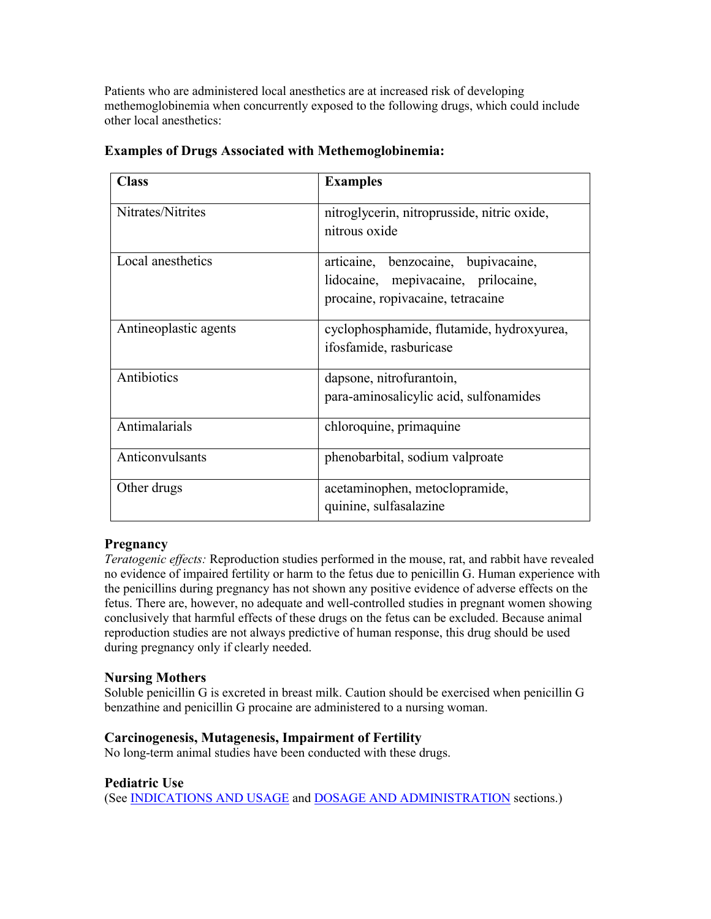Patients who are administered local anesthetics are at increased risk of developing methemoglobinemia when concurrently exposed to the following drugs, which could include other local anesthetics:

| <b>Class</b>          | <b>Examples</b>                             |
|-----------------------|---------------------------------------------|
| Nitrates/Nitrites     | nitroglycerin, nitroprusside, nitric oxide, |
|                       | nitrous oxide                               |
| Local anesthetics     | articaine, benzocaine, bupivacaine,         |
|                       | lidocaine, mepivacaine, prilocaine,         |
|                       | procaine, ropivacaine, tetracaine           |
| Antineoplastic agents | cyclophosphamide, flutamide, hydroxyurea,   |
|                       | ifosfamide, rasburicase                     |
| Antibiotics           | dapsone, nitrofurantoin,                    |
|                       | para-aminosalicylic acid, sulfonamides      |
| Antimalarials         | chloroquine, primaquine                     |
| Anticonvulsants       | phenobarbital, sodium valproate             |
| Other drugs           | acetaminophen, metoclopramide,              |
|                       | quinine, sulfasalazine                      |

## **Examples of Drugs Associated with Methemoglobinemia:**

### **Pregnancy**

*Teratogenic effects:* Reproduction studies performed in the mouse, rat, and rabbit have revealed no evidence of impaired fertility or harm to the fetus due to penicillin G. Human experience with the penicillins during pregnancy has not shown any positive evidence of adverse effects on the fetus. There are, however, no adequate and well-controlled studies in pregnant women showing conclusively that harmful effects of these drugs on the fetus can be excluded. Because animal reproduction studies are not always predictive of human response, this drug should be used during pregnancy only if clearly needed.

## **Nursing Mothers**

Soluble penicillin G is excreted in breast milk. Caution should be exercised when penicillin G benzathine and penicillin G procaine are administered to a nursing woman.

### **Carcinogenesis, Mutagenesis, Impairment of Fertility**

No long-term animal studies have been conducted with these drugs.

### **Pediatric Use**

(See [INDICATIONS AND USAGE](#page-2-0) and [DOSAGE AND ADMINISTRATION](#page-9-0) sections.)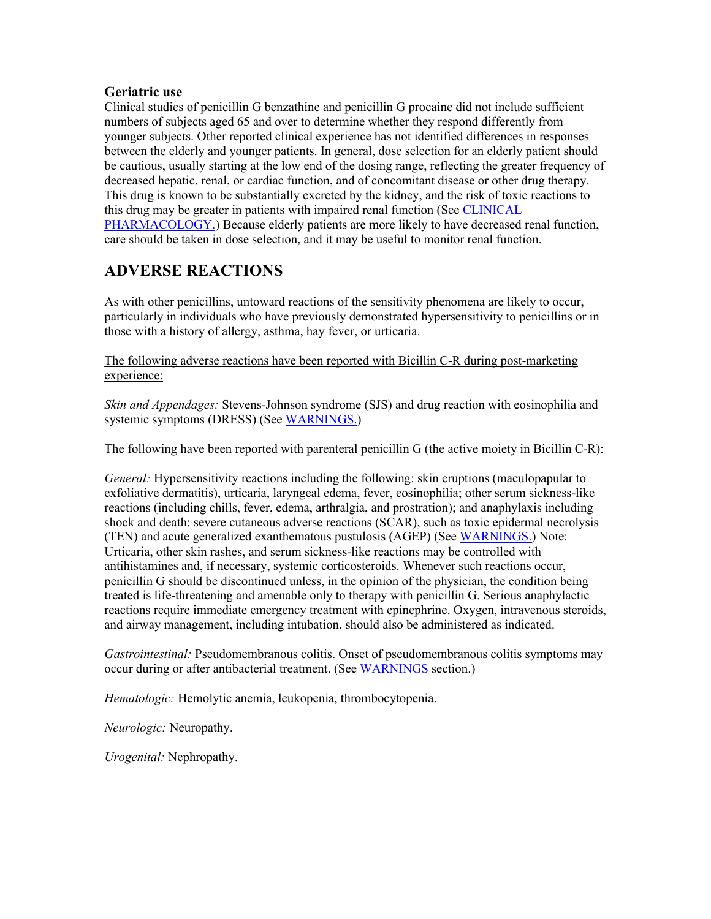### **Geriatric use**

Clinical studies of penicillin G benzathine and penicillin G procaine did not include sufficient numbers of subjects aged 65 and over to determine whether they respond differently from younger subjects. Other reported clinical experience has not identified differences in responses between the elderly and younger patients. In general, dose selection for an elderly patient should be cautious, usually starting at the low end of the dosing range, reflecting the greater frequency of decreased hepatic, renal, or cardiac function, and of concomitant disease or other drug therapy. This drug is known to be substantially excreted by the kidney, and the risk of toxic reactions to this drug may be greater in patients with impaired renal function (See CLINICAL [PHARMACOLOGY.](#page-1-0)) Because elderly patients are more likely to have decreased renal function, care should be taken in dose selection, and it may be useful to monitor renal function.

# <span id="page-8-0"></span>**ADVERSE REACTIONS**

As with other penicillins, untoward reactions of the sensitivity phenomena are likely to occur, particularly in individuals who have previously demonstrated hypersensitivity to penicillins or in those with a history of allergy, asthma, hay fever, or urticaria.

The following adverse reactions have been reported with Bicillin C-R during post-marketing experience:

*Skin and Appendages:* Stevens-Johnson syndrome (SJS) and drug reaction with eosinophilia and systemic symptoms (DRESS) (See [WARNINGS.](#page-3-0))

#### The following have been reported with parenteral penicillin G (the active moiety in Bicillin C-R):

*General:* Hypersensitivity reactions including the following: skin eruptions (maculopapular to exfoliative dermatitis), urticaria, laryngeal edema, fever, eosinophilia; other serum sickness-like reactions (including chills, fever, edema, arthralgia, and prostration); and anaphylaxis including shock and death: severe cutaneous adverse reactions (SCAR), such as toxic epidermal necrolysis (TEN) and acute generalized exanthematous pustulosis (AGEP) (See [WARNINGS](#page-3-0).) Note: Urticaria, other skin rashes, and serum sickness-like reactions may be controlled with antihistamines and, if necessary, systemic corticosteroids. Whenever such reactions occur, penicillin G should be discontinued unless, in the opinion of the physician, the condition being treated is life-threatening and amenable only to therapy with penicillin G. Serious anaphylactic reactions require immediate emergency treatment with epinephrine. Oxygen, intravenous steroids, and airway management, including intubation, should also be administered as indicated.

*Gastrointestinal:* Pseudomembranous colitis. Onset of pseudomembranous colitis symptoms may occur during or after antibacterial treatment. (See [WARNINGS](#page-3-0) section.)

*Hematologic:* Hemolytic anemia, leukopenia, thrombocytopenia.

*Neurologic:* Neuropathy.

*Urogenital:* Nephropathy.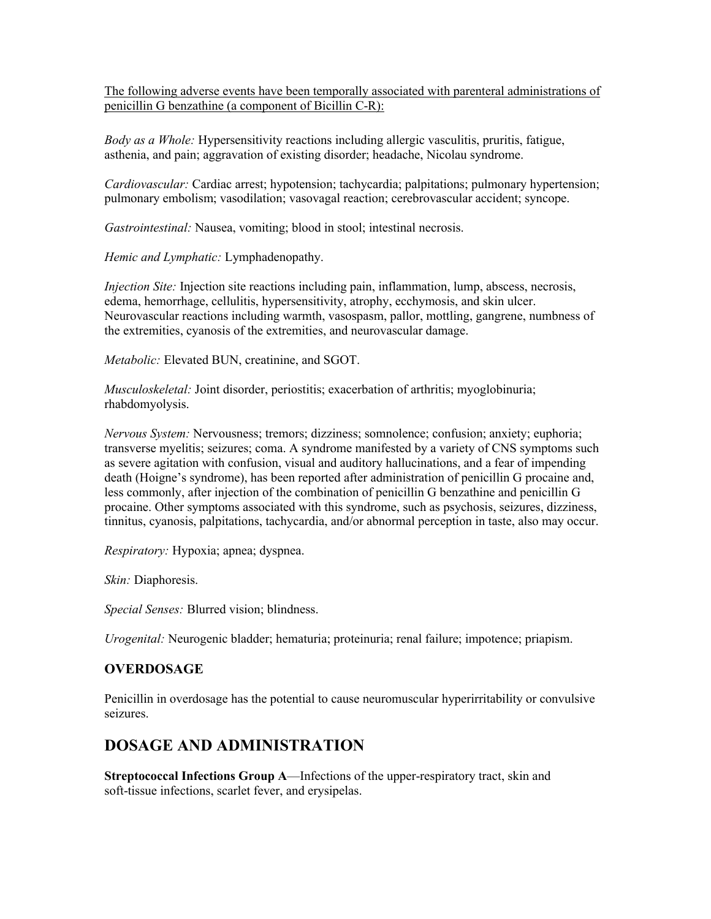The following adverse events have been temporally associated with parenteral administrations of penicillin G benzathine (a component of Bicillin C-R):

*Body as a Whole:* Hypersensitivity reactions including allergic vasculitis, pruritis, fatigue, asthenia, and pain; aggravation of existing disorder; headache, Nicolau syndrome.

*Cardiovascular:* Cardiac arrest; hypotension; tachycardia; palpitations; pulmonary hypertension; pulmonary embolism; vasodilation; vasovagal reaction; cerebrovascular accident; syncope.

*Gastrointestinal:* Nausea, vomiting; blood in stool; intestinal necrosis.

*Hemic and Lymphatic:* Lymphadenopathy.

*Injection Site:* Injection site reactions including pain, inflammation, lump, abscess, necrosis, edema, hemorrhage, cellulitis, hypersensitivity, atrophy, ecchymosis, and skin ulcer. Neurovascular reactions including warmth, vasospasm, pallor, mottling, gangrene, numbness of the extremities, cyanosis of the extremities, and neurovascular damage.

*Metabolic:* Elevated BUN, creatinine, and SGOT.

*Musculoskeletal:* Joint disorder, periostitis; exacerbation of arthritis; myoglobinuria; rhabdomyolysis.

*Nervous System:* Nervousness; tremors; dizziness; somnolence; confusion; anxiety; euphoria; transverse myelitis; seizures; coma. A syndrome manifested by a variety of CNS symptoms such as severe agitation with confusion, visual and auditory hallucinations, and a fear of impending death (Hoigne's syndrome), has been reported after administration of penicillin G procaine and, less commonly, after injection of the combination of penicillin G benzathine and penicillin G procaine. Other symptoms associated with this syndrome, such as psychosis, seizures, dizziness, tinnitus, cyanosis, palpitations, tachycardia, and/or abnormal perception in taste, also may occur.

*Respiratory:* Hypoxia; apnea; dyspnea.

*Skin:* Diaphoresis.

*Special Senses:* Blurred vision; blindness.

*Urogenital:* Neurogenic bladder; hematuria; proteinuria; renal failure; impotence; priapism.

#### **OVERDOSAGE**

Penicillin in overdosage has the potential to cause neuromuscular hyperirritability or convulsive seizures.

# <span id="page-9-0"></span>**DOSAGE AND ADMINISTRATION**

**Streptococcal Infections Group A**—Infections of the upper-respiratory tract, skin and soft-tissue infections, scarlet fever, and erysipelas.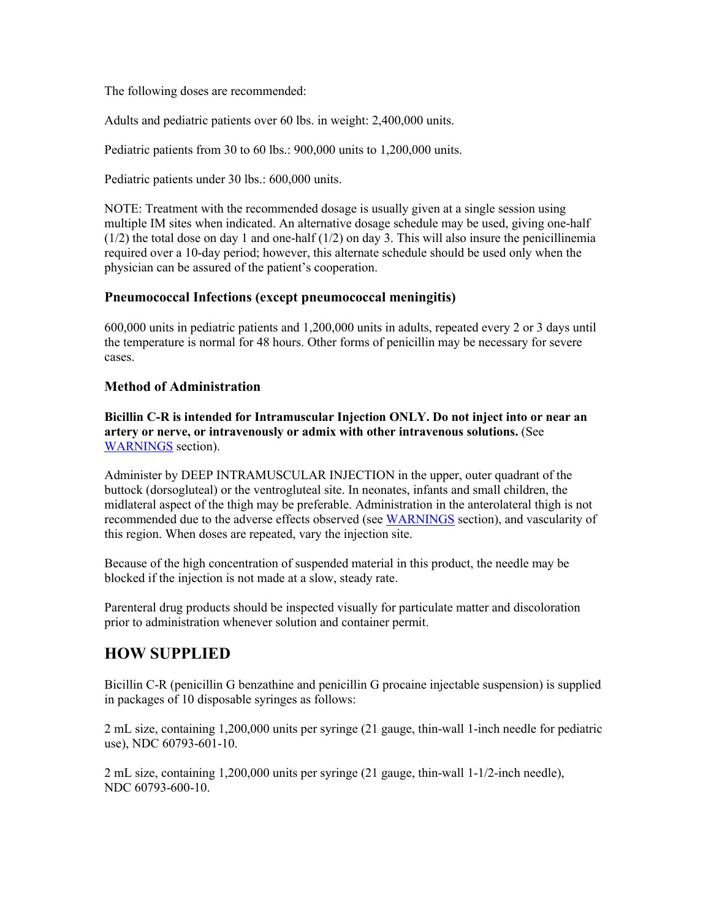The following doses are recommended:

Adults and pediatric patients over 60 lbs. in weight: 2,400,000 units.

Pediatric patients from 30 to 60 lbs.: 900,000 units to 1,200,000 units.

Pediatric patients under 30 lbs.: 600,000 units.

NOTE: Treatment with the recommended dosage is usually given at a single session using multiple IM sites when indicated. An alternative dosage schedule may be used, giving one-half  $(1/2)$  the total dose on day 1 and one-half  $(1/2)$  on day 3. This will also insure the penicillinemia required over a 10-day period; however, this alternate schedule should be used only when the physician can be assured of the patient's cooperation.

### **Pneumococcal Infections (except pneumococcal meningitis)**

600,000 units in pediatric patients and 1,200,000 units in adults, repeated every 2 or 3 days until the temperature is normal for 48 hours. Other forms of penicillin may be necessary for severe cases.

### **Method of Administration**

**Bicillin C-R is intended for Intramuscular Injection ONLY. Do not inject into or near an artery or nerve, or intravenously or admix with other intravenous solutions.** (See [WARNINGS](#page-3-0) section).

Administer by DEEP INTRAMUSCULAR INJECTION in the upper, outer quadrant of the buttock (dorsogluteal) or the ventrogluteal site. In neonates, infants and small children, the midlateral aspect of the thigh may be preferable. Administration in the anterolateral thigh is not recommended due to the adverse effects observed (see WARNINGS section), and vascularity of this region. When doses are repeated, vary the injection site.

Because of the high concentration of suspended material in this product, the needle may be blocked if the injection is not made at a slow, steady rate.

Parenteral drug products should be inspected visually for particulate matter and discoloration prior to administration whenever solution and container permit.

# **HOW SUPPLIED**

Bicillin C-R (penicillin G benzathine and penicillin G procaine injectable suspension) is supplied in packages of 10 disposable syringes as follows:

2 mL size, containing 1,200,000 units per syringe (21 gauge, thin-wall 1-inch needle for pediatric use), NDC 60793-601-10.

2 mL size, containing 1,200,000 units per syringe (21 gauge, thin-wall 1-1/2-inch needle), NDC 60793-600-10.